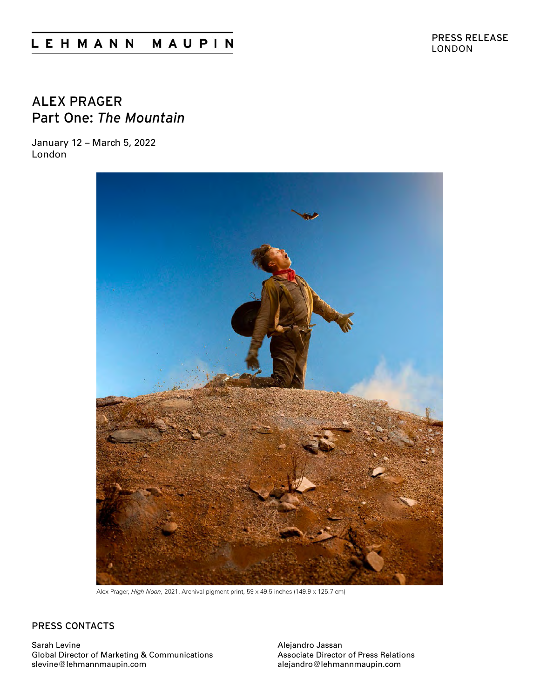# LEHMANN MAUPIN

## ALEX PRAGER Part One: *The Mountain*

January 12 – March 5, 2022 London



Alex Prager, *High Noon*, 2021. Archival pigment print, 59 x 49.5 inches (149.9 x 125.7 cm)

### PRESS CONTACTS

Sarah Levine Global Director of Marketing & Communications [slevine@lehmannmaupin.com](mailto:slevine%40lehmannmaupin.com?subject=)

Alejandro Jassan Associate Director of Press Relations [alejandro@lehmannmaupin.com](mailto:alejandro%40lehmannmaupin.com?subject=)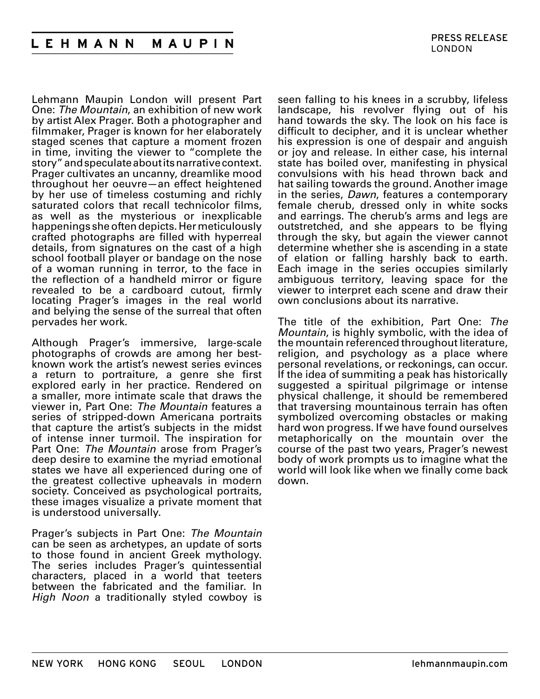Lehmann Maupin London will present Part One: *The Mountain*, an exhibition of new work by artist Alex Prager. Both a photographer and filmmaker, Prager is known for her elaborately staged scenes that capture a moment frozen in time, inviting the viewer to "complete the story" and speculate about its narrative context. Prager cultivates an uncanny, dreamlike mood throughout her oeuvre—an effect heightened by her use of timeless costuming and richly saturated colors that recall technicolor films, as well as the mysterious or inexplicable happenings she often depicts. Her meticulously crafted photographs are filled with hyperreal details, from signatures on the cast of a high school football player or bandage on the nose of a woman running in terror, to the face in the reflection of a handheld mirror or figure revealed to be a cardboard cutout, firmly locating Prager's images in the real world and belying the sense of the surreal that often pervades her work.

Although Prager's immersive, large-scale photographs of crowds are among her bestknown work the artist's newest series evinces a return to portraiture, a genre she first explored early in her practice. Rendered on a smaller, more intimate scale that draws the viewer in, Part One: *The Mountain* features a series of stripped-down Americana portraits that capture the artist's subjects in the midst of intense inner turmoil. The inspiration for Part One: *The Mountain* arose from Prager's deep desire to examine the myriad emotional states we have all experienced during one of the greatest collective upheavals in modern society. Conceived as psychological portraits, these images visualize a private moment that is understood universally.

Prager's subjects in Part One: *The Mountain* can be seen as archetypes, an update of sorts to those found in ancient Greek mythology. The series includes Prager's quintessential characters, placed in a world that teeters between the fabricated and the familiar. In *High Noon* a traditionally styled cowboy is

seen falling to his knees in a scrubby, lifeless landscape, his revolver flying out of his hand towards the sky. The look on his face is difficult to decipher, and it is unclear whether his expression is one of despair and anguish or joy and release. In either case, his internal state has boiled over, manifesting in physical convulsions with his head thrown back and hat sailing towards the ground. Another image in the series, *Dawn*, features a contemporary female cherub, dressed only in white socks and earrings. The cherub's arms and legs are outstretched, and she appears to be flying through the sky, but again the viewer cannot determine whether she is ascending in a state of elation or falling harshly back to earth. Each image in the series occupies similarly ambiguous territory, leaving space for the viewer to interpret each scene and draw their own conclusions about its narrative.

The title of the exhibition, Part One: *The Mountain*, is highly symbolic, with the idea of the mountain referenced throughout literature, religion, and psychology as a place where personal revelations, or reckonings, can occur. If the idea of summiting a peak has historically suggested a spiritual pilgrimage or intense physical challenge, it should be remembered that traversing mountainous terrain has often symbolized overcoming obstacles or making hard won progress. If we have found ourselves metaphorically on the mountain over the course of the past two years, Prager's newest body of work prompts us to imagine what the world will look like when we finally come back down.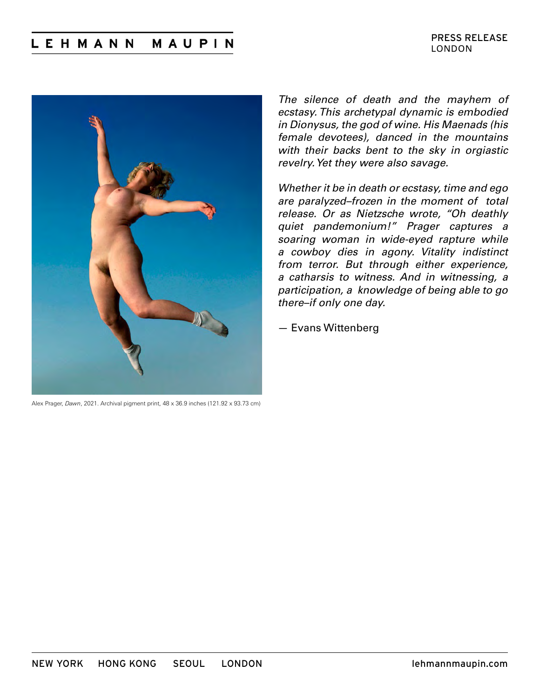#### **LEHMANN** MAUPIN



Alex Prager, *Dawn*, 2021. Archival pigment print, 48 x 36.9 inches (121.92 x 93.73 cm)

*The silence of death and the mayhem of ecstasy. This archetypal dynamic is embodied in Dionysus, the god of wine. His Maenads (his female devotees), danced in the mountains with their backs bent to the sky in orgiastic revelry. Yet they were also savage.* 

*Whether it be in death or ecstasy, time and ego are paralyzed–frozen in the moment of total release. Or as Nietzsche wrote, "Oh deathly quiet pandemonium!" Prager captures a soaring woman in wide-eyed rapture while a cowboy dies in agony. Vitality indistinct from terror. But through either experience, a catharsis to witness. And in witnessing, a participation, a knowledge of being able to go there–if only one day.* 

— Evans Wittenberg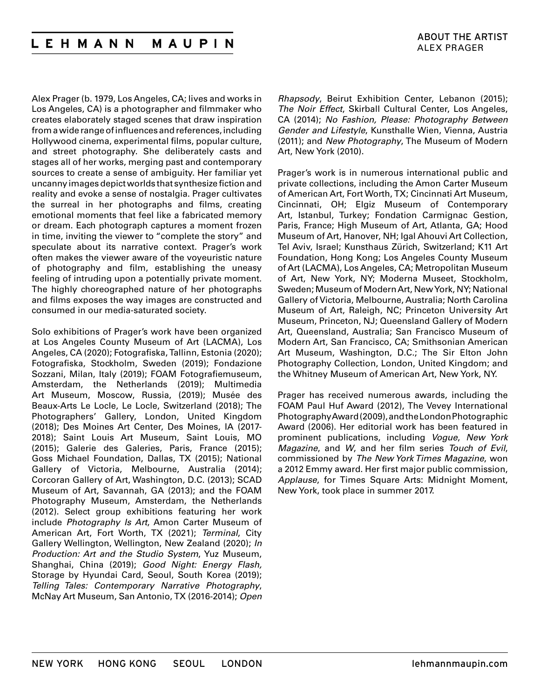Alex Prager (b. 1979, Los Angeles, CA; lives and works in Los Angeles, CA) is a photographer and filmmaker who creates elaborately staged scenes that draw inspiration from a wide range of influences and references, including Hollywood cinema, experimental films, popular culture, and street photography. She deliberately casts and stages all of her works, merging past and contemporary sources to create a sense of ambiguity. Her familiar yet uncanny images depict worlds that synthesize fiction and reality and evoke a sense of nostalgia. Prager cultivates the surreal in her photographs and films, creating emotional moments that feel like a fabricated memory or dream. Each photograph captures a moment frozen in time, inviting the viewer to "complete the story" and speculate about its narrative context. Prager's work often makes the viewer aware of the voyeuristic nature of photography and film, establishing the uneasy feeling of intruding upon a potentially private moment. The highly choreographed nature of her photographs and films exposes the way images are constructed and consumed in our media-saturated society.

Solo exhibitions of Prager's work have been organized at Los Angeles County Museum of Art (LACMA), Los Angeles, CA (2020); Fotografiska, Tallinn, Estonia (2020); Fotografiska, Stockholm, Sweden (2019); Fondazione Sozzani, Milan, Italy (2019); FOAM Fotografiemuseum, Amsterdam, the Netherlands (2019); Multimedia Art Museum, Moscow, Russia, (2019); Musée des Beaux-Arts Le Locle, Le Locle, Switzerland (2018); The Photographers' Gallery, London, United Kingdom (2018); Des Moines Art Center, Des Moines, IA (2017- 2018); Saint Louis Art Museum, Saint Louis, MO (2015); Galerie des Galeries, Paris, France (2015); Goss Michael Foundation, Dallas, TX (2015); National Gallery of Victoria, Melbourne, Australia (2014); Corcoran Gallery of Art, Washington, D.C. (2013); SCAD Museum of Art, Savannah, GA (2013); and the FOAM Photography Museum, Amsterdam, the Netherlands (2012). Select group exhibitions featuring her work include *Photography Is Art*, Amon Carter Museum of American Art, Fort Worth, TX (2021); *Terminal*, City Gallery Wellington, Wellington, New Zealand (2020); *In Production: Art and the Studio System*, Yuz Museum, Shanghai, China (2019); *Good Night: Energy Flash,*  Storage by Hyundai Card, Seoul, South Korea (2019); *Telling Tales: Contemporary Narrative Photography*, McNay Art Museum, San Antonio, TX (2016-2014); *Open*

*Rhapsody*, Beirut Exhibition Center, Lebanon (2015); *The Noir Effect*, Skirball Cultural Center, Los Angeles, CA (2014); *No Fashion, Please: Photography Between Gender and Lifestyle*, Kunsthalle Wien, Vienna, Austria (2011); and *New Photography*, The Museum of Modern Art, New York (2010).

Prager's work is in numerous international public and private collections, including the Amon Carter Museum of American Art, Fort Worth, TX; Cincinnati Art Museum, Cincinnati, OH; Elgiz Museum of Contemporary Art, Istanbul, Turkey; Fondation Carmignac Gestion, Paris, France; High Museum of Art, Atlanta, GA; Hood Museum of Art, Hanover, NH; Igal Ahouvi Art Collection, Tel Aviv, Israel; Kunsthaus Zürich, Switzerland; K11 Art Foundation, Hong Kong; Los Angeles County Museum of Art (LACMA), Los Angeles, CA; Metropolitan Museum of Art, New York, NY; Moderna Museet, Stockholm, Sweden; Museum of Modern Art, New York, NY; National Gallery of Victoria, Melbourne, Australia; North Carolina Museum of Art, Raleigh, NC; Princeton University Art Museum, Princeton, NJ; Queensland Gallery of Modern Art, Queensland, Australia; San Francisco Museum of Modern Art, San Francisco, CA; Smithsonian American Art Museum, Washington, D.C.; The Sir Elton John Photography Collection, London, United Kingdom; and the Whitney Museum of American Art, New York, NY.

Prager has received numerous awards, including the FOAM Paul Huf Award (2012), The Vevey International Photography Award (2009), and the London Photographic Award (2006). Her editorial work has been featured in prominent publications, including *Vogue*, *New York Magazine*, and *W*, and her film series *Touch of Evil*, commissioned by *The New York Times Magazine*, won a 2012 Emmy award. Her first major public commission, *Applause*, for Times Square Arts: Midnight Moment, New York, took place in summer 2017.